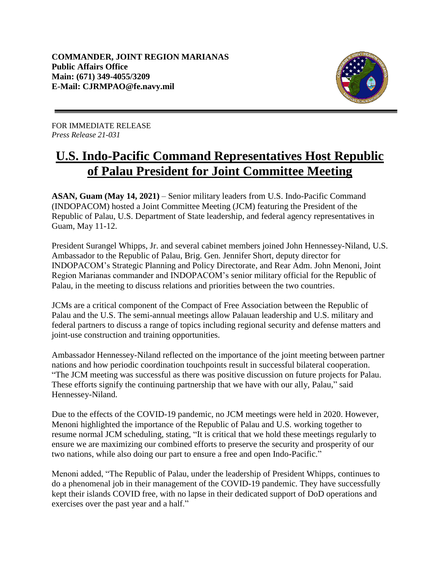

FOR IMMEDIATE RELEASE *Press Release 21-031*

## **U.S. Indo-Pacific Command Representatives Host Republic of Palau President for Joint Committee Meeting**

**ASAN, Guam (May 14, 2021)** – Senior military leaders from U.S. Indo-Pacific Command (INDOPACOM) hosted a Joint Committee Meeting (JCM) featuring the President of the Republic of Palau, U.S. Department of State leadership, and federal agency representatives in Guam, May 11-12.

President Surangel Whipps, Jr. and several cabinet members joined John Hennessey-Niland, U.S. Ambassador to the Republic of Palau, Brig. Gen. Jennifer Short, deputy director for INDOPACOM's Strategic Planning and Policy Directorate, and Rear Adm. John Menoni, Joint Region Marianas commander and INDOPACOM's senior military official for the Republic of Palau, in the meeting to discuss relations and priorities between the two countries.

JCMs are a critical component of the Compact of Free Association between the Republic of Palau and the U.S. The semi-annual meetings allow Palauan leadership and U.S. military and federal partners to discuss a range of topics including regional security and defense matters and joint-use construction and training opportunities.

Ambassador Hennessey-Niland reflected on the importance of the joint meeting between partner nations and how periodic coordination touchpoints result in successful bilateral cooperation. "The JCM meeting was successful as there was positive discussion on future projects for Palau. These efforts signify the continuing partnership that we have with our ally, Palau," said Hennessey-Niland.

Due to the effects of the COVID-19 pandemic, no JCM meetings were held in 2020. However, Menoni highlighted the importance of the Republic of Palau and U.S. working together to resume normal JCM scheduling, stating, "It is critical that we hold these meetings regularly to ensure we are maximizing our combined efforts to preserve the security and prosperity of our two nations, while also doing our part to ensure a free and open Indo-Pacific."

Menoni added, "The Republic of Palau, under the leadership of President Whipps, continues to do a phenomenal job in their management of the COVID-19 pandemic. They have successfully kept their islands COVID free, with no lapse in their dedicated support of DoD operations and exercises over the past year and a half."